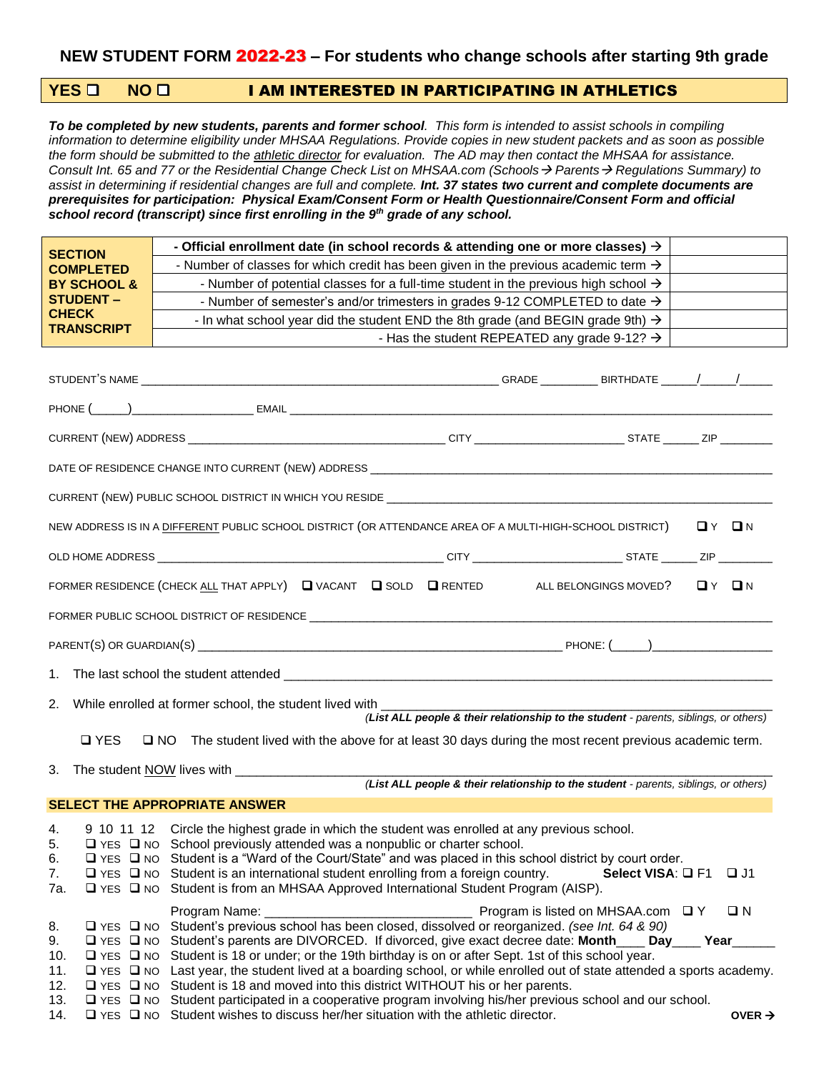# **YES** ❑ **NO** ❑ I AM INTERESTED IN PARTICIPATING IN ATHLETICS

*To be completed by new students, parents and former school. This form is intended to assist schools in compiling information to determine eligibility under MHSAA Regulations. Provide copies in new student packets and as soon as possible the form should be submitted to the athletic director for evaluation. The AD may then contact the MHSAA for assistance. Consult Int. 65 and 77 or the Residential Change Check List on MHSAA.com (Schools*→ *Parents*→ *Regulations Summary) to assist in determining if residential changes are full and complete. Int. 37 states two current and complete documents are prerequisites for participation: Physical Exam/Consent Form or Health Questionnaire/Consent Form and official school record (transcript) since first enrolling in the 9th grade of any school.* 

| <b>SECTION</b>                    | - Official enrollment date (in school records & attending one or more classes) $\rightarrow$                                                                                                                                                  |  |  |  |
|-----------------------------------|-----------------------------------------------------------------------------------------------------------------------------------------------------------------------------------------------------------------------------------------------|--|--|--|
| <b>COMPLETED</b>                  | - Number of classes for which credit has been given in the previous academic term $\rightarrow$                                                                                                                                               |  |  |  |
| <b>BY SCHOOL &amp;</b>            | - Number of potential classes for a full-time student in the previous high school $\rightarrow$                                                                                                                                               |  |  |  |
| <b>STUDENT -</b>                  | - Number of semester's and/or trimesters in grades 9-12 COMPLETED to date $\rightarrow$                                                                                                                                                       |  |  |  |
| <b>CHECK</b><br><b>TRANSCRIPT</b> | - In what school year did the student END the 8th grade (and BEGIN grade 9th) $\rightarrow$                                                                                                                                                   |  |  |  |
|                                   | - Has the student REPEATED any grade 9-12? $\rightarrow$                                                                                                                                                                                      |  |  |  |
|                                   |                                                                                                                                                                                                                                               |  |  |  |
|                                   |                                                                                                                                                                                                                                               |  |  |  |
|                                   |                                                                                                                                                                                                                                               |  |  |  |
|                                   |                                                                                                                                                                                                                                               |  |  |  |
|                                   |                                                                                                                                                                                                                                               |  |  |  |
|                                   |                                                                                                                                                                                                                                               |  |  |  |
|                                   |                                                                                                                                                                                                                                               |  |  |  |
|                                   | NEW ADDRESS IS IN A DIFFERENT PUBLIC SCHOOL DISTRICT (OR ATTENDANCE AREA OF A MULTI-HIGH-SCHOOL DISTRICT)<br>OY ON                                                                                                                            |  |  |  |
|                                   |                                                                                                                                                                                                                                               |  |  |  |
|                                   | FORMER RESIDENCE (CHECK ALL THAT APPLY) ■ VACANT ■ SOLD ■ RENTED<br>$\mathbf{D}$ $\mathbf{V}$ $\mathbf{D}$ $\mathbf{N}$<br>ALL BELONGINGS MOVED?                                                                                              |  |  |  |
|                                   |                                                                                                                                                                                                                                               |  |  |  |
|                                   |                                                                                                                                                                                                                                               |  |  |  |
| 1.                                |                                                                                                                                                                                                                                               |  |  |  |
| 2.                                | While enrolled at former school, the student lived with ________<br>(List ALL people & their relationship to the student - parents, siblings, or others)                                                                                      |  |  |  |
| $\Box$ YES                        | $\square$ NO<br>The student lived with the above for at least 30 days during the most recent previous academic term.                                                                                                                          |  |  |  |
| 3.                                | (List ALL people & their relationship to the student - parents, siblings, or others)                                                                                                                                                          |  |  |  |
|                                   | <b>SELECT THE APPROPRIATE ANSWER</b>                                                                                                                                                                                                          |  |  |  |
|                                   |                                                                                                                                                                                                                                               |  |  |  |
| 4.<br>5.                          | 9 10 11 12 Circle the highest grade in which the student was enrolled at any previous school.                                                                                                                                                 |  |  |  |
|                                   |                                                                                                                                                                                                                                               |  |  |  |
|                                   | $\square$ YES $\square$ NO School previously attended was a nonpublic or charter school.                                                                                                                                                      |  |  |  |
| 6.<br>7.                          | □ YES □ NO Student is a "Ward of the Court/State" and was placed in this school district by court order.<br>$\Box$ YES $\Box$ NO Student is an international student enrolling from a foreign country.<br>Select VISA: $\Box$ F1<br>$\Box$ J1 |  |  |  |
| 7a.                               | □ YES □ NO Student is from an MHSAA Approved International Student Program (AISP).                                                                                                                                                            |  |  |  |
|                                   | $\Box N$                                                                                                                                                                                                                                      |  |  |  |
| 8.                                | □ YES □ NO Student's previous school has been closed, dissolved or reorganized. (see Int. 64 & 90)                                                                                                                                            |  |  |  |
| 9.<br>10.                         | □ YES □ NO Student's parents are DIVORCED. If divorced, give exact decree date: Month Day Year<br>□ YES □ NO Student is 18 or under; or the 19th birthday is on or after Sept. 1st of this school year.                                       |  |  |  |
| 11.                               | □ YES □ NO Last year, the student lived at a boarding school, or while enrolled out of state attended a sports academy.                                                                                                                       |  |  |  |
| 12.<br>13.                        | $\Box$ YES $\Box$ NO Student is 18 and moved into this district WITHOUT his or her parents.<br>$\Box$ YES $\Box$ NO Student participated in a cooperative program involving his/her previous school and our school.                           |  |  |  |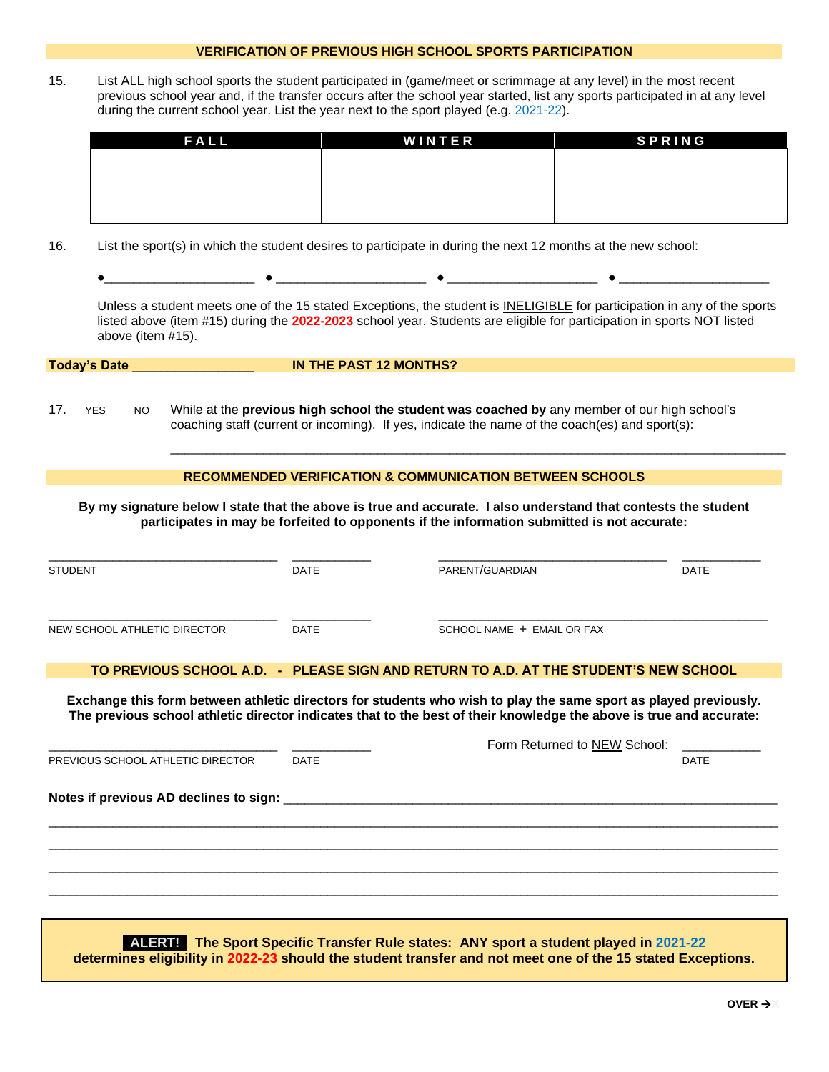#### **VERIFICATION OF PREVIOUS HIGH SCHOOL SPORTS PARTICIPATION**

15. List ALL high school sports the student participated in (game/meet or scrimmage at any level) in the most recent previous school year and, if the transfer occurs after the school year started, list any sports participated in at any level during the current school year. List the year next to the sport played (e.g. 2021-22).

| FALL | WINTER | <b>SPRING</b> |
|------|--------|---------------|
|      |        |               |
|      |        |               |
|      |        |               |
|      |        |               |

16. List the sport(s) in which the student desires to participate in during the next 12 months at the new school:

| Unless a student meets one of the 15 stated Exceptions, the student is INELIGIBLE for participation in any of the sports<br>listed above (item #15) during the 2022-2023 school year. Students are eligible for participation in sports NOT listed |  |
|----------------------------------------------------------------------------------------------------------------------------------------------------------------------------------------------------------------------------------------------------|--|
| above (item $#15$ ).                                                                                                                                                                                                                               |  |

 $\overline{\phantom{a}}$  ,  $\overline{\phantom{a}}$  ,  $\overline{\phantom{a}}$  ,  $\overline{\phantom{a}}$  ,  $\overline{\phantom{a}}$  ,  $\overline{\phantom{a}}$  ,  $\overline{\phantom{a}}$  ,  $\overline{\phantom{a}}$  ,  $\overline{\phantom{a}}$  ,  $\overline{\phantom{a}}$  ,  $\overline{\phantom{a}}$  ,  $\overline{\phantom{a}}$  ,  $\overline{\phantom{a}}$  ,  $\overline{\phantom{a}}$  ,  $\overline{\phantom{a}}$  ,  $\overline{\phantom{a}}$ 

| <b>Today's Date</b> | IN THE PAST 12 MONTHS? |  |
|---------------------|------------------------|--|

17. YES NO While at the **previous high school the student was coached by** any member of our high school's coaching staff (current or incoming). If yes, indicate the name of the coach(es) and sport(s):

### **RECOMMENDED VERIFICATION & COMMUNICATION BETWEEN SCHOOLS**

**By my signature below I state that the above is true and accurate. I also understand that contests the student participates in may be forfeited to opponents if the information submitted is not accurate:**

| <b>STUDENT</b>               | DATE        | PARENT/GUARDIAN            | <b>DATE</b> |
|------------------------------|-------------|----------------------------|-------------|
| NEW SCHOOL ATHLETIC DIRECTOR | <b>DATE</b> | SCHOOL NAME + EMAIL OR FAX |             |

#### **TO PREVIOUS SCHOOL A.D. - PLEASE SIGN AND RETURN TO A.D. AT THE STUDENT'S NEW SCHOOL**

**Exchange this form between athletic directors for students who wish to play the same sport as played previously. The previous school athletic director indicates that to the best of their knowledge the above is true and accurate:**

|                                   |             | Form Returned to NEW School: |             |
|-----------------------------------|-------------|------------------------------|-------------|
| PREVIOUS SCHOOL ATHLETIC DIRECTOR | <b>DATE</b> |                              | <b>DATE</b> |
|                                   |             |                              |             |
|                                   |             |                              |             |
|                                   |             |                              |             |
|                                   |             |                              |             |

**\_ALERT!\_ The Sport Specific Transfer Rule states: ANY sport a student played in 2021-22 determines eligibility in 2022-23 should the student transfer and not meet one of the 15 stated Exceptions.**

\_\_\_\_\_\_\_\_\_\_\_\_\_\_\_\_\_\_\_\_\_\_\_\_\_\_\_\_\_\_\_\_\_\_\_\_\_\_\_\_\_\_\_\_\_\_\_\_\_\_\_\_\_\_\_\_\_\_\_\_\_\_\_\_\_\_\_\_\_\_\_\_\_\_\_\_\_\_\_\_\_\_\_\_\_\_\_\_\_\_\_\_\_\_\_\_\_\_\_\_\_\_